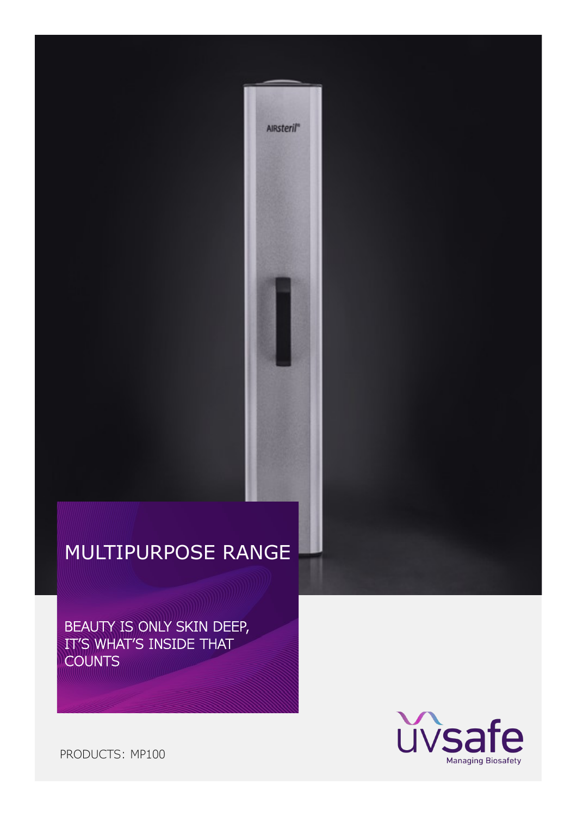AIRsteril"

BEAUTY IS ONLY SKIN DEEP, IT'S WHAT'S INSIDE THAT **COUNTS** 



PRODUCTS: MP100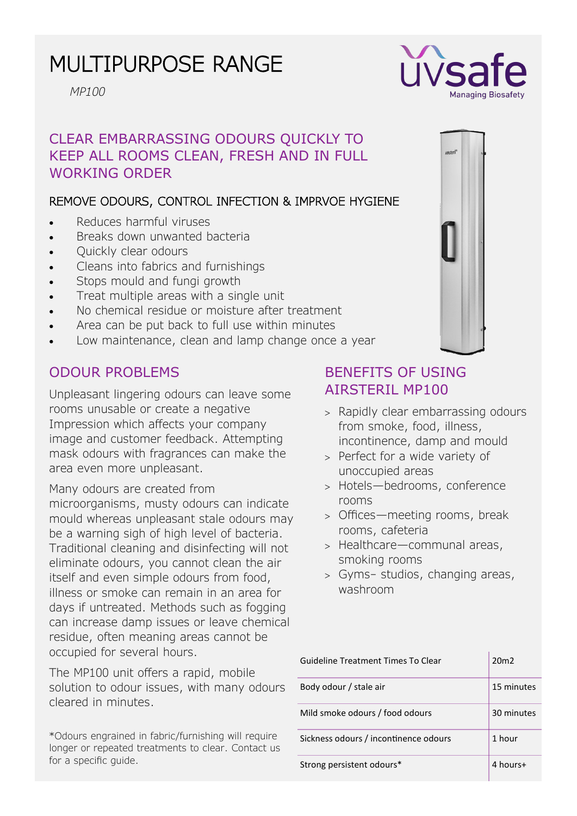*MP100*

# CLEAR EMBARRASSING ODOURS QUICKLY TO KEEP ALL ROOMS CLEAN, FRESH AND IN FULL WORKING ORDER

### REMOVE ODOURS, CONTROL INFECTION & IMPRVOE HYGIENE

- Reduces harmful viruses
- Breaks down unwanted bacteria
- Quickly clear odours
- Cleans into fabrics and furnishings
- Stops mould and fungi growth
- Treat multiple areas with a single unit
- No chemical residue or moisture after treatment
- Area can be put back to full use within minutes
- Low maintenance, clean and lamp change once a year

## ODOUR PROBLEMS

Unpleasant lingering odours can leave some rooms unusable or create a negative Impression which affects your company image and customer feedback. Attempting mask odours with fragrances can make the area even more unpleasant.

Many odours are created from microorganisms, musty odours can indicate mould whereas unpleasant stale odours may be a warning sigh of high level of bacteria. Traditional cleaning and disinfecting will not eliminate odours, you cannot clean the air itself and even simple odours from food, illness or smoke can remain in an area for days if untreated. Methods such as fogging can increase damp issues or leave chemical residue, often meaning areas cannot be occupied for several hours.

The MP100 unit offers a rapid, mobile solution to odour issues, with many odours cleared in minutes.

\*Odours engrained in fabric/furnishing will require longer or repeated treatments to clear. Contact us for a specific guide.

# BENEFITS OF USING AIRSTERIL MP100

- > Rapidly clear embarrassing odours from smoke, food, illness, incontinence, damp and mould
- > Perfect for a wide variety of unoccupied areas
- Hotels—bedrooms, conference rooms
- Offices—meeting rooms, break rooms, cafeteria
- > Healthcare—communal areas, smoking rooms
- Gyms– studios, changing areas, washroom

| <b>Guideline Treatment Times To Clear</b> | 20 <sub>m</sub> |
|-------------------------------------------|-----------------|
| Body odour / stale air                    | 15 minutes      |
| Mild smoke odours / food odours           | 30 minutes      |
| Sickness odours / incontinence odours     | 1 hour          |
| Strong persistent odours*                 | 4 hours+        |



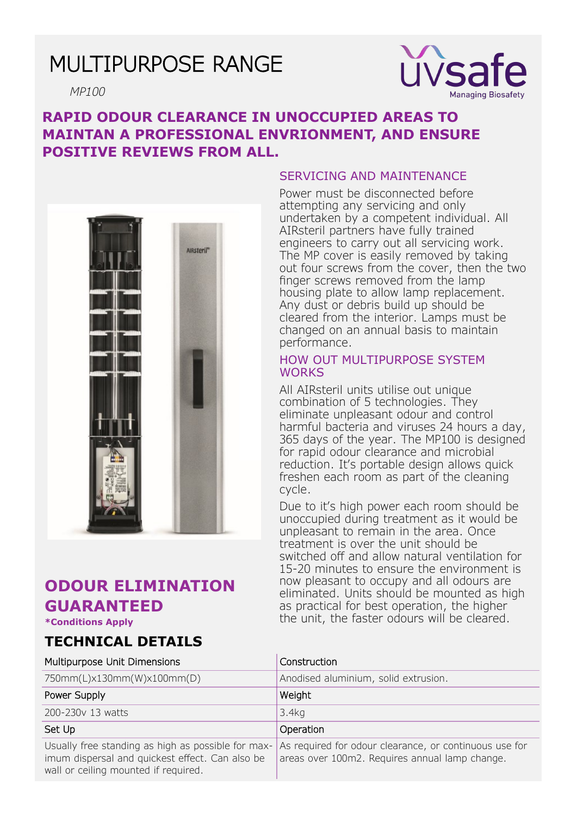*MP100*



## **RAPID ODOUR CLEARANCE IN UNOCCUPIED AREAS TO MAINTAN A PROFESSIONAL ENVRIONMENT, AND ENSURE POSITIVE REVIEWS FROM ALL.**



# **ODOUR ELIMINATION GUARANTEED**

**\*Conditions Apply**

## **TECHNICAL DETAILS**

#### SERVICING AND MAINTENANCE

Power must be disconnected before attempting any servicing and only undertaken by a competent individual. All AIRsteril partners have fully trained engineers to carry out all servicing work. The MP cover is easily removed by taking out four screws from the cover, then the two finger screws removed from the lamp housing plate to allow lamp replacement. Any dust or debris build up should be cleared from the interior. Lamps must be changed on an annual basis to maintain performance.

#### HOW OUT MULTIPURPOSE SYSTEM **WORKS**

All AIRsteril units utilise out unique combination of 5 technologies. They eliminate unpleasant odour and control harmful bacteria and viruses 24 hours a day, 365 days of the year. The MP100 is designed for rapid odour clearance and microbial reduction. It's portable design allows quick freshen each room as part of the cleaning cycle.

Due to it's high power each room should be unoccupied during treatment as it would be unpleasant to remain in the area. Once treatment is over the unit should be switched off and allow natural ventilation for 15-20 minutes to ensure the environment is now pleasant to occupy and all odours are eliminated. Units should be mounted as high as practical for best operation, the higher the unit, the faster odours will be cleared.

| Multipurpose Unit Dimensions                                                                                                                  | Construction                                                                                             |
|-----------------------------------------------------------------------------------------------------------------------------------------------|----------------------------------------------------------------------------------------------------------|
| 750mm(L)x130mm(W)x100mm(D)                                                                                                                    | Anodised aluminium, solid extrusion.                                                                     |
| Power Supply                                                                                                                                  | Weight                                                                                                   |
| 200-230v 13 watts                                                                                                                             | 3.4kg                                                                                                    |
| Set Up                                                                                                                                        | Operation                                                                                                |
| Usually free standing as high as possible for max-<br>imum dispersal and quickest effect. Can also be<br>wall or ceiling mounted if required. | As required for odour clearance, or continuous use for<br>areas over 100m2. Requires annual lamp change. |